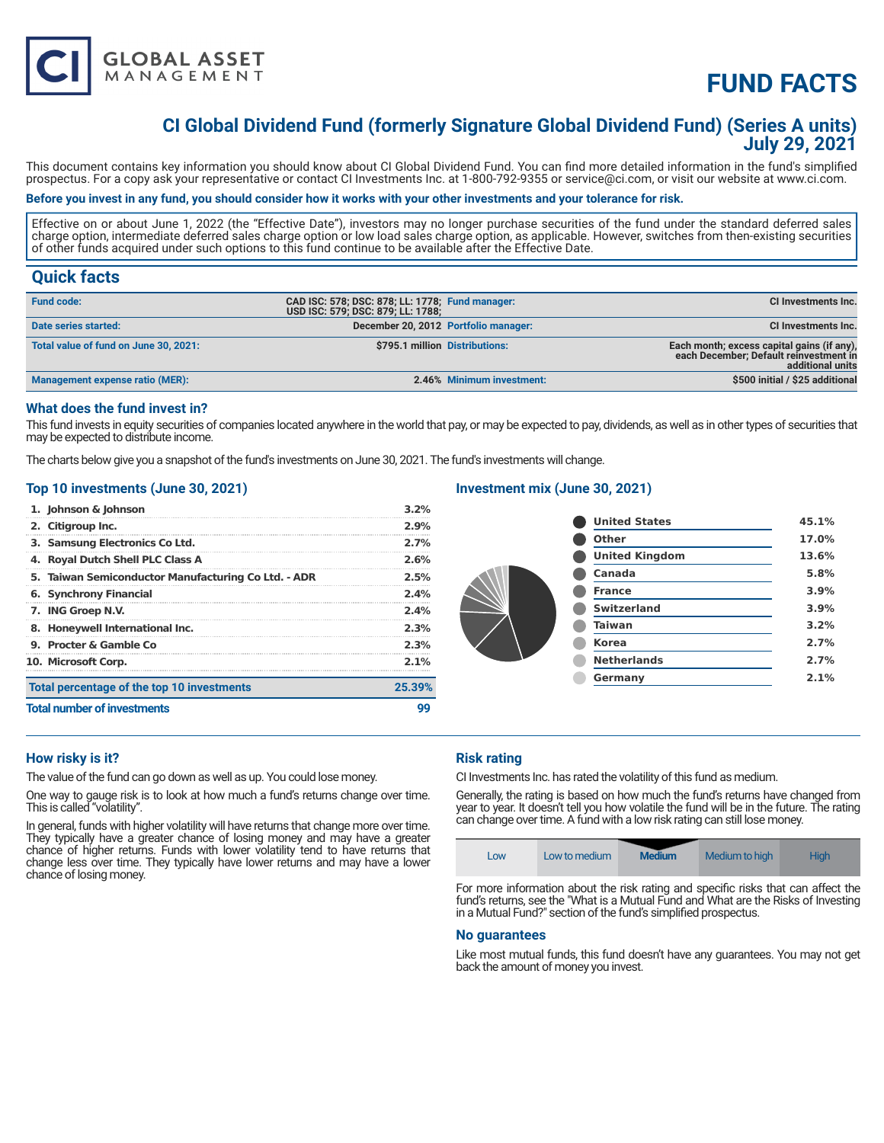

# **FUND FACTS**

# **CI Global Dividend Fund (formerly Signature Global Dividend Fund) (Series A units) July 29, 2021**

This document contains key information you should know about CI Global Dividend Fund. You can find more detailed information in the fund's simplified prospectus. For a copy ask your representative or contact CI Investments Inc. at 1-800-792-9355 or service@ci.com, or visit our website at www.ci.com.

### **Before you invest in any fund, you should consider how it works with your other investments and your tolerance for risk.**

Effective on or about June 1, 2022 (the "Effective Date"), investors may no longer purchase securities of the fund under the standard deferred sales charge option, intermediate deferred sales charge option or low load sales charge option, as applicable. However, switches from then-existing securities of other funds acquired under such options to this fund continue to be available after the Effective Date.

# **Quick facts**

| <b>Fund code:</b>                     | CAD ISC: 578; DSC: 878; LL: 1778; Fund manager:<br>USD ISC: 579; DSC: 879; LL: 1788; |                           | CI Investments Inc.                                                                                      |
|---------------------------------------|--------------------------------------------------------------------------------------|---------------------------|----------------------------------------------------------------------------------------------------------|
| Date series started:                  | December 20, 2012 Portfolio manager:                                                 |                           | <b>CI Investments Inc.</b>                                                                               |
| Total value of fund on June 30, 2021: | \$795.1 million Distributions:                                                       |                           | Each month; excess capital gains (if any),<br>each December; Default reinvestment in<br>additional units |
| Management expense ratio (MER):       |                                                                                      | 2.46% Minimum investment: | \$500 initial / \$25 additional                                                                          |

## **What does the fund invest in?**

This fund invests in equity securities of companies located anywhere in the world that pay, or may be expected to pay, dividends, as well as in other types of securities that may be expected to distribute income.

The charts below give you a snapshot of the fund's investments on June 30, 2021. The fund's investments will change.

## **Top 10 investments (June 30, 2021)**

| 1. Johnson & Johnson                                | 3.2%    |
|-----------------------------------------------------|---------|
| 2. Citigroup Inc.                                   | 2.9%    |
| 3. Samsung Electronics Co Ltd.                      | 2.7%    |
| 4. Royal Dutch Shell PLC Class A                    | 2.6%    |
| 5. Taiwan Semiconductor Manufacturing Co Ltd. - ADR | 2.5%    |
| 6. Synchrony Financial                              | 2.4%    |
| 7. ING Groep N.V.                                   | 2.4%    |
| 8. Honeywell International Inc.                     | 2.3%    |
| 9. Procter & Gamble Co.                             | 2.3%    |
| 10. Microsoft Corp.                                 | $2.1\%$ |
| Total percentage of the top 10 investments          | 25.39%  |
| <b>Total number of investments</b>                  | qq      |

# **Investment mix (June 30, 2021)**

| <b>United States</b>  | 45.1% |
|-----------------------|-------|
| Other                 | 17.0% |
| <b>United Kingdom</b> | 13.6% |
| Canada                | 5.8%  |
| <b>France</b>         | 3.9%  |
| <b>Switzerland</b>    | 3.9%  |
| <b>Taiwan</b>         | 3.2%  |
| <b>Korea</b>          | 2.7%  |
| <b>Netherlands</b>    | 2.7%  |
| Germany               | 2.1%  |
|                       |       |

#### **How risky is it?**

The value of the fund can go down as well as up. You could lose money.

One way to gauge risk is to look at how much a fund's returns change over time. This is called "volatility".

In general, funds with higher volatility will have returns that change more over time. They typically have a greater chance of losing money and may have a greater chance of higher returns. Funds with lower volatility tend to have returns that change less over time. They typically have lower returns and may have a lower chance of losing money.

## **Risk rating**

CI Investments Inc. has rated the volatility of this fund as medium.

Generally, the rating is based on how much the fund's returns have changed from year to year. It doesn't tell you how volatile the fund will be in the future. The rating can change over time. A fund with a low risk rating can still lose money.



For more information about the risk rating and specific risks that can affect the fund's returns, see the "What is a Mutual Fund and What are the Risks of Investing in a Mutual Fund?" section of the fund's simplified prospectus.

#### **No guarantees**

Like most mutual funds, this fund doesn't have any guarantees. You may not get back the amount of money you invest.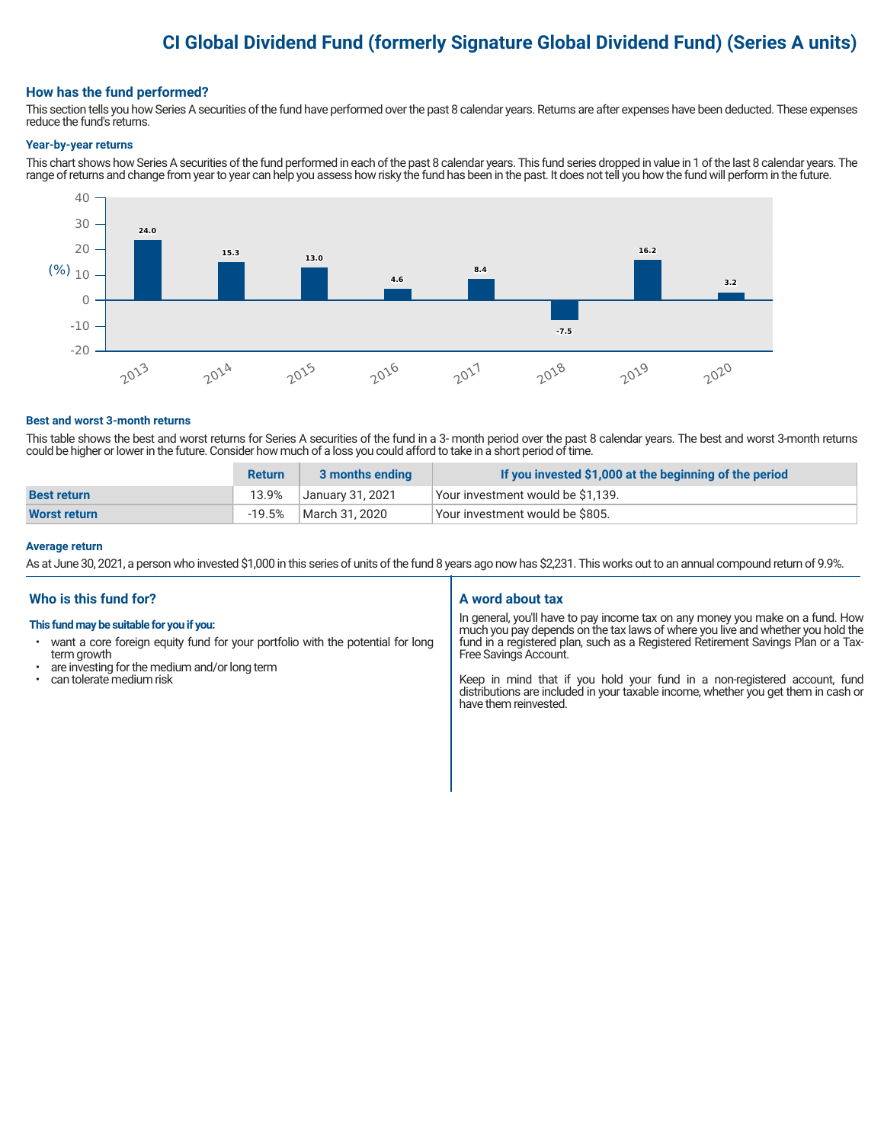# **CI Global Dividend Fund (formerly Signature Global Dividend Fund) (Series A units)**

#### **How has the fund performed?**

This section tells you how Series A securities of the fund have performed over the past 8 calendar years. Returns are after expenses have been deducted. These expenses reduce the fund's returns.

#### **Year-by-year returns**

This chart shows how Series A securities of the fund performed in each of the past 8 calendar years. This fund series dropped in value in 1 of the last 8 calendar years. The range of returns and change from year to year can help you assess how risky the fund has been in the past. It does not tell you how the fund will perform in the future.



#### **Best and worst 3-month returns**

This table shows the best and worst returns for Series A securities of the fund in a 3- month period over the past 8 calendar years. The best and worst 3-month returns could be higher or lower in the future. Consider how much of a loss you could afford to take in a short period of time.

|                     | <b>Return</b> | 3 months ending  | If you invested \$1,000 at the beginning of the period |
|---------------------|---------------|------------------|--------------------------------------------------------|
| <b>Best return</b>  | 13.9%         | January 31, 2021 | Vour investment would be \$1,139.                      |
| <b>Worst return</b> | $-19.5%$      | March 31. 2020   | Vour investment would be \$805.                        |

#### **Average return**

As at June 30, 2021, a person who invested \$1,000 in this series of units of the fund 8 years ago now has \$2,231. This works out to an annual compound return of 9.9%.

# **Who is this fund for?**

#### **This fund may be suitable for you if you:**

- want a core foreign equity fund for your portfolio with the potential for long term growth
- are investing for the medium and/or long term
- can tolerate medium risk

# **A word about tax**

In general, you'll have to pay income tax on any money you make on a fund. How much you pay depends on the tax laws of where you live and whether you hold the fund in a registered plan, such as a Registered Retirement Savings Plan or a Tax-Free Savings Account.

Keep in mind that if you hold your fund in a non-registered account, fund distributions are included in your taxable income, whether you get them in cash or have them reinvested.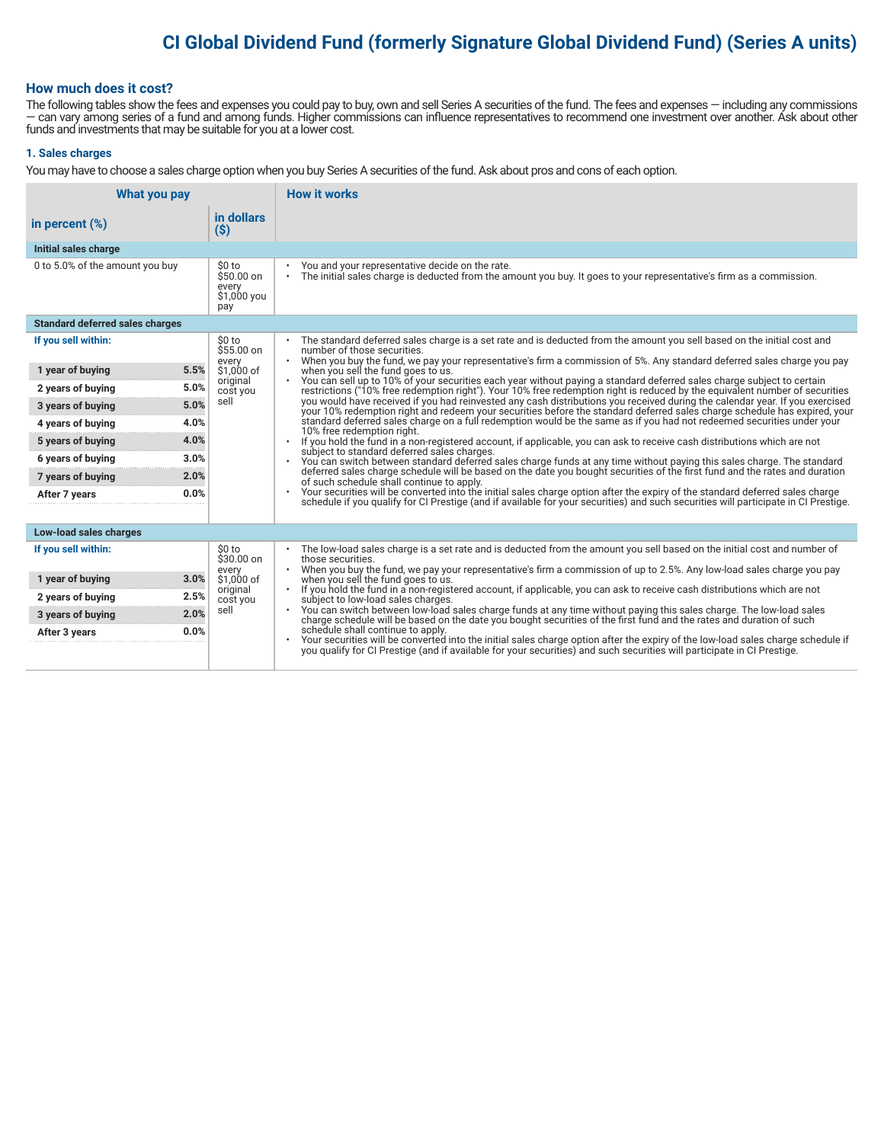# **CI Global Dividend Fund (formerly Signature Global Dividend Fund) (Series A units)**

## **How much does it cost?**

The following tables show the fees and expenses you could pay to buy, own and sell Series A securities of the fund. The fees and expenses — including any commissions — can vary among series of a fund and among funds. Higher commissions can influence representatives to recommend one investment over another. Ask about other funds and investments that may be suitable for you at a lower cost.

#### **1. Sales charges**

You may have to choose a sales charge option when you buy Series A securities of the fund. Ask about pros and cons of each option.

| What you pay                           |                                                      | <b>How it works</b>                                                                                                                                                                                                                                                               |  |
|----------------------------------------|------------------------------------------------------|-----------------------------------------------------------------------------------------------------------------------------------------------------------------------------------------------------------------------------------------------------------------------------------|--|
| in percent $(\%)$                      | in dollars<br>$(\$)$                                 |                                                                                                                                                                                                                                                                                   |  |
| Initial sales charge                   |                                                      |                                                                                                                                                                                                                                                                                   |  |
| 0 to 5.0% of the amount you buy        | \$0 to<br>$$50.00$ on<br>every<br>\$1,000 you<br>pay | You and your representative decide on the rate.<br>٠<br>The initial sales charge is deducted from the amount you buy. It goes to your representative's firm as a commission.<br>$\bullet$                                                                                         |  |
| <b>Standard deferred sales charges</b> |                                                      |                                                                                                                                                                                                                                                                                   |  |
| If you sell within:                    | \$0 to<br>\$55.00 on                                 | The standard deferred sales charge is a set rate and is deducted from the amount you sell based on the initial cost and<br>number of those securities.                                                                                                                            |  |
| 5.5%<br>1 year of buying               | every<br>\$1,000 of                                  | When you buy the fund, we pay your representative's firm a commission of 5%. Any standard deferred sales charge you pay<br>$\bullet$<br>when you sell the fund goes to us.                                                                                                        |  |
| 5.0%<br>2 years of buying              | original<br>cost you                                 | You can sell up to 10% of your securities each year without paying a standard deferred sales charge subject to certain<br>$\bullet$<br>restrictions ("10% free redemption right"). Your 10% free redemption right is reduced by the equivalent number of securities               |  |
| 5.0%<br>3 years of buying              | sell                                                 | you would have received if you had reinvested any cash distributions you received during the calendar year. If you exercised<br>your 10% redemption right and redeem your securities before the standard deferred sales charge schedule has expired, your                         |  |
| 4.0%<br>4 years of buying              |                                                      | standard deferred sales charge on a full redemption would be the same as if you had not redeemed securities under your<br>10% free redemption right.                                                                                                                              |  |
| 4.0%<br>5 years of buying              |                                                      | If you hold the fund in a non-registered account, if applicable, you can ask to receive cash distributions which are not                                                                                                                                                          |  |
| 3.0%<br>6 years of buying              |                                                      | subject to standard deferred sales charges.<br>You can switch between standard deferred sales charge funds at any time without paying this sales charge. The standard                                                                                                             |  |
| 2.0%<br>7 years of buying              |                                                      | deferred sales charge schedule will be based on the date you bought securities of the first fund and the rates and duration<br>of such schedule shall continue to apply.                                                                                                          |  |
| 0.0%<br>After 7 years                  |                                                      | Your securities will be converted into the initial sales charge option after the expiry of the standard deferred sales charge<br>$\bullet$<br>schedule if you qualify for CI Prestige (and if available for your securities) and such securities will participate in CI Prestige. |  |
|                                        |                                                      |                                                                                                                                                                                                                                                                                   |  |
| Low-load sales charges                 |                                                      |                                                                                                                                                                                                                                                                                   |  |
| If you sell within:                    | \$0 to<br>$$30.00$ on                                | The low-load sales charge is a set rate and is deducted from the amount you sell based on the initial cost and number of<br>those securities.                                                                                                                                     |  |
| 1 year of buying<br>3.0%               | every<br>\$1,000 of                                  | When you buy the fund, we pay your representative's firm a commission of up to 2.5%. Any low-load sales charge you pay<br>when you sell the fund goes to us.                                                                                                                      |  |
| 2.5%<br>2 years of buying              | original<br>cost you                                 | If you hold the fund in a non-registered account, if applicable, you can ask to receive cash distributions which are not<br>subject to low-load sales charges.                                                                                                                    |  |
| 2.0%<br>3 years of buying              | sell                                                 | You can switch between low-load sales charge funds at any time without paying this sales charge. The low-load sales<br>charge schedule will be based on the date you bought securities of the first fund and the rates and durati                                                 |  |
| 0.0%<br>After 3 years                  |                                                      | schedule shall continue to apply.                                                                                                                                                                                                                                                 |  |
|                                        |                                                      | Your securities will be converted into the initial sales charge option after the expiry of the low-load sales charge schedule if<br>you qualify for CI Prestige (and if available for your securities) and such securities will p                                                 |  |